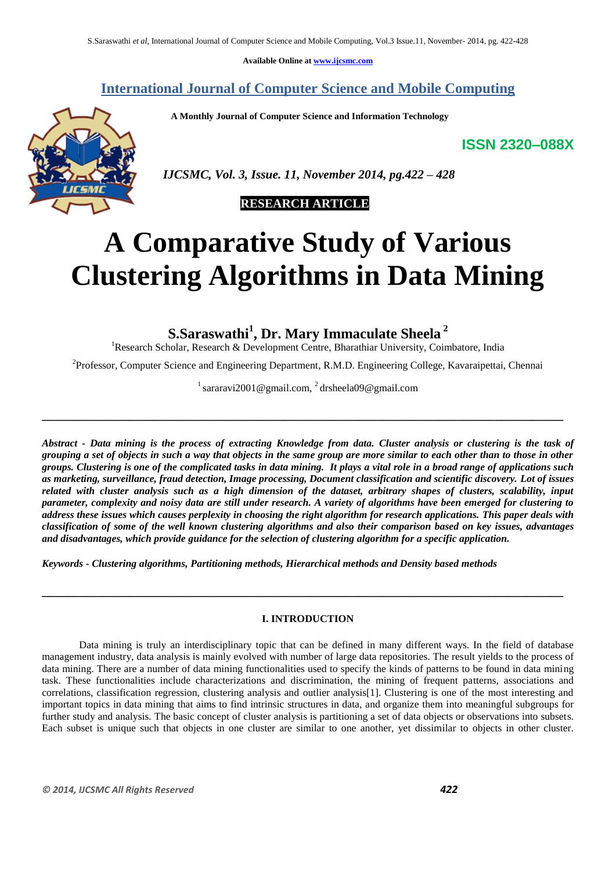**Available Online at [www.ijcsmc.com](http://www.ijcsmc.com/)**

# **International Journal of Computer Science and Mobile Computing**

 **A Monthly Journal of Computer Science and Information Technology**

**ISSN 2320–088X**



 *IJCSMC, Vol. 3, Issue. 11, November 2014, pg.422 – 428*

# **RESEARCH ARTICLE**

# **A Comparative Study of Various Clustering Algorithms in Data Mining**

**S.Saraswathi<sup>1</sup> , Dr. Mary Immaculate Sheela <sup>2</sup>**

<sup>1</sup>Research Scholar, Research & Development Centre, Bharathiar University, Coimbatore, India

<sup>2</sup>Professor, Computer Science and Engineering Department, R.M.D. Engineering College, Kavaraipettai, Chennai

<sup>1</sup> sararavi2001@gmail.com, <sup>2</sup> drsheela09@gmail.com

**\_\_\_\_\_\_\_\_\_\_\_\_\_\_\_\_\_\_\_\_\_\_\_\_\_\_\_\_\_\_\_\_\_\_\_\_\_\_\_\_\_\_\_\_\_\_\_\_\_\_\_\_\_\_\_\_\_\_\_\_\_\_\_\_\_\_\_\_\_\_\_\_\_\_\_\_\_\_\_\_\_\_\_\_**

*Abstract - Data mining is the process of extracting Knowledge from data. Cluster analysis or clustering is the task of grouping a set of objects in such a way that objects in the same group are more similar to each other than to those in other groups. Clustering is one of the complicated tasks in data mining. It plays a vital role in a broad range of applications such as marketing, surveillance, fraud detection, Image processing, Document classification and scientific discovery. Lot of issues related with cluster analysis such as a high dimension of the dataset, arbitrary shapes of clusters, scalability, input parameter, complexity and noisy data are still under research. A variety of algorithms have been emerged for clustering to address these issues which causes perplexity in choosing the right algorithm for research applications. This paper deals with classification of some of the well known clustering algorithms and also their comparison based on key issues, advantages and disadvantages, which provide guidance for the selection of clustering algorithm for a specific application.*

*Keywords - Clustering algorithms, Partitioning methods, Hierarchical methods and Density based methods*

# **I. INTRODUCTION**

**\_\_\_\_\_\_\_\_\_\_\_\_\_\_\_\_\_\_\_\_\_\_\_\_\_\_\_\_\_\_\_\_\_\_\_\_\_\_\_\_\_\_\_\_\_\_\_\_\_\_\_\_\_\_\_\_\_\_\_\_\_\_\_\_\_\_\_\_\_\_\_\_\_\_\_\_\_\_\_\_\_\_\_\_**

Data mining is truly an interdisciplinary topic that can be defined in many different ways. In the field of database management industry, data analysis is mainly evolved with number of large data repositories. The result yields to the process of data mining. There are a number of data mining functionalities used to specify the kinds of patterns to be found in data mining task. These functionalities include characterizations and discrimination, the mining of frequent patterns, associations and correlations, classification regression, clustering analysis and outlier analysis[1]. Clustering is one of the most interesting and important topics in data mining that aims to find intrinsic structures in data, and organize them into meaningful subgroups for further study and analysis. The basic concept of cluster analysis is partitioning a set of data objects or observations into subsets. Each subset is unique such that objects in one cluster are similar to one another, yet dissimilar to objects in other cluster.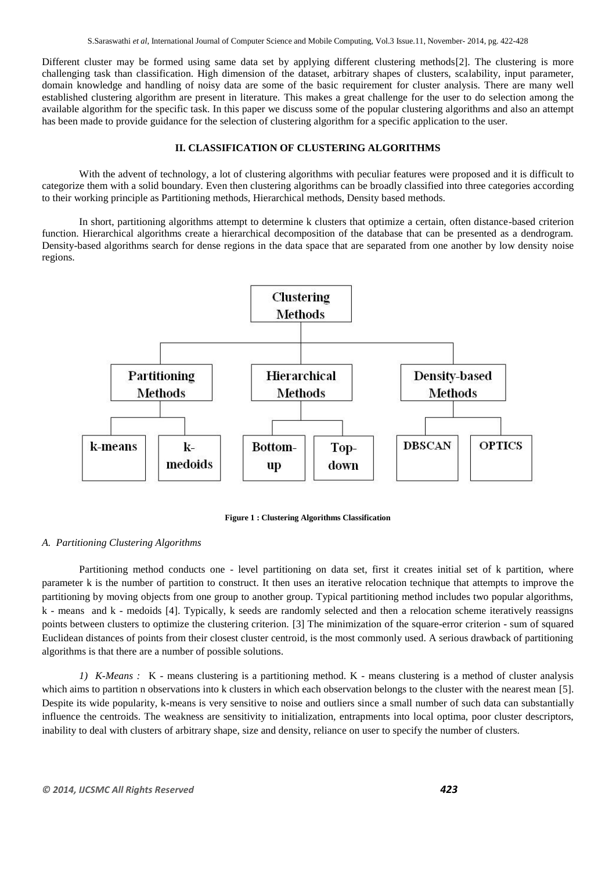Different cluster may be formed using same data set by applying different clustering methods[2]. The clustering is more challenging task than classification. High dimension of the dataset, arbitrary shapes of clusters, scalability, input parameter, domain knowledge and handling of noisy data are some of the basic requirement for cluster analysis. There are many well established clustering algorithm are present in literature. This makes a great challenge for the user to do selection among the available algorithm for the specific task. In this paper we discuss some of the popular clustering algorithms and also an attempt has been made to provide guidance for the selection of clustering algorithm for a specific application to the user.

#### **II. CLASSIFICATION OF CLUSTERING ALGORITHMS**

With the advent of technology, a lot of clustering algorithms with peculiar features were proposed and it is difficult to categorize them with a solid boundary. Even then clustering algorithms can be broadly classified into three categories according to their working principle as Partitioning methods, Hierarchical methods, Density based methods.

In short, partitioning algorithms attempt to determine k clusters that optimize a certain, often distance-based criterion function. Hierarchical algorithms create a hierarchical decomposition of the database that can be presented as a dendrogram. Density-based algorithms search for dense regions in the data space that are separated from one another by low density noise regions.



**Figure 1 : Clustering Algorithms Classification**

## *A. Partitioning Clustering Algorithms*

Partitioning method conducts one - level partitioning on data set, first it creates initial set of k partition, where parameter k is the number of partition to construct. It then uses an iterative relocation technique that attempts to improve the partitioning by moving objects from one group to another group. Typical partitioning method includes two popular algorithms, k - means and k - medoids [4]. Typically, k seeds are randomly selected and then a relocation scheme iteratively reassigns points between clusters to optimize the clustering criterion. [3] The minimization of the square-error criterion - sum of squared Euclidean distances of points from their closest cluster centroid, is the most commonly used. A serious drawback of partitioning algorithms is that there are a number of possible solutions.

*1) K-Means :*K - means clustering is a partitioning method. K - means clustering is a method of cluster analysis which aims to partition n observations into k clusters in which each observation belongs to the cluster with the nearest mean [5]. Despite its wide popularity, k-means is very sensitive to noise and outliers since a small number of such data can substantially influence the centroids. The weakness are sensitivity to initialization, entrapments into local optima, poor cluster descriptors, inability to deal with clusters of arbitrary shape, size and density, reliance on user to specify the number of clusters.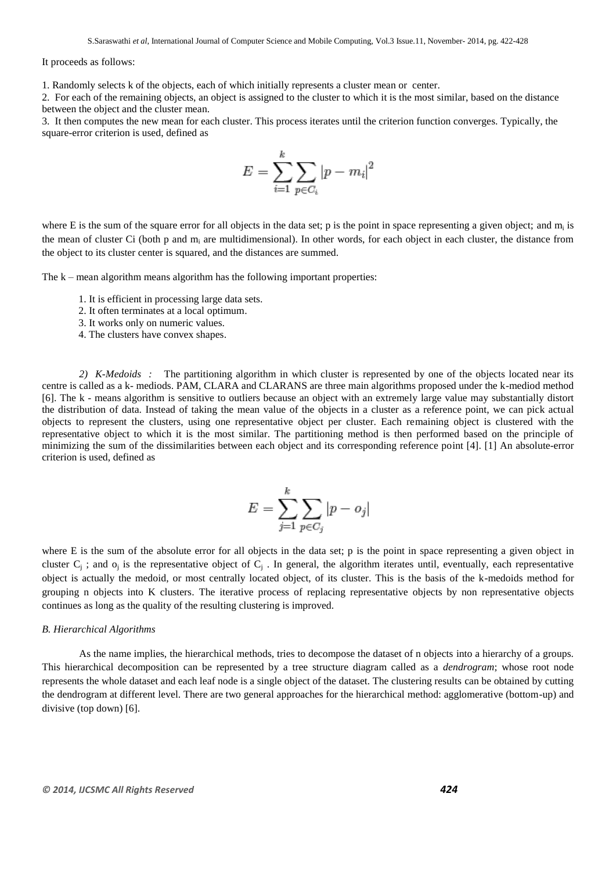It proceeds as follows:

1. Randomly selects k of the objects, each of which initially represents a cluster mean or center.

2. For each of the remaining objects, an object is assigned to the cluster to which it is the most similar, based on the distance between the object and the cluster mean.

3. It then computes the new mean for each cluster. This process iterates until the criterion function converges. Typically, the square-error criterion is used, defined as

$$
E = \sum_{i=1}^{k} \sum_{p \in C_i} |p - m_i|^2
$$

where E is the sum of the square error for all objects in the data set; p is the point in space representing a given object; and  $m_i$  is the mean of cluster Ci (both p and  $m_i$  are multidimensional). In other words, for each object in each cluster, the distance from the object to its cluster center is squared, and the distances are summed.

The k – mean algorithm means algorithm has the following important properties:

- 1. It is efficient in processing large data sets.
- 2. It often terminates at a local optimum.
- 3. It works only on numeric values.
- 4. The clusters have convex shapes.

*2) K-Medoids :* The partitioning algorithm in which cluster is represented by one of the objects located near its centre is called as a k- mediods. PAM, CLARA and CLARANS are three main algorithms proposed under the k-mediod method [6]. The k - means algorithm is sensitive to outliers because an object with an extremely large value may substantially distort the distribution of data. Instead of taking the mean value of the objects in a cluster as a reference point, we can pick actual objects to represent the clusters, using one representative object per cluster. Each remaining object is clustered with the representative object to which it is the most similar. The partitioning method is then performed based on the principle of minimizing the sum of the dissimilarities between each object and its corresponding reference point [4]. [1] An absolute-error criterion is used, defined as

$$
E = \sum_{j=1}^{k} \sum_{p \in C_j} |p - o_j|
$$

where E is the sum of the absolute error for all objects in the data set; p is the point in space representing a given object in cluster  $C_j$ ; and  $o_j$  is the representative object of  $C_j$ . In general, the algorithm iterates until, eventually, each representative object is actually the medoid, or most centrally located object, of its cluster. This is the basis of the k-medoids method for grouping n objects into K clusters. The iterative process of replacing representative objects by non representative objects continues as long as the quality of the resulting clustering is improved.

#### *B. Hierarchical Algorithms*

As the name implies, the hierarchical methods, tries to decompose the dataset of n objects into a hierarchy of a groups. This hierarchical decomposition can be represented by a tree structure diagram called as a *dendrogram*; whose root node represents the whole dataset and each leaf node is a single object of the dataset. The clustering results can be obtained by cutting the dendrogram at different level. There are two general approaches for the hierarchical method: agglomerative (bottom-up) and divisive (top down) [6].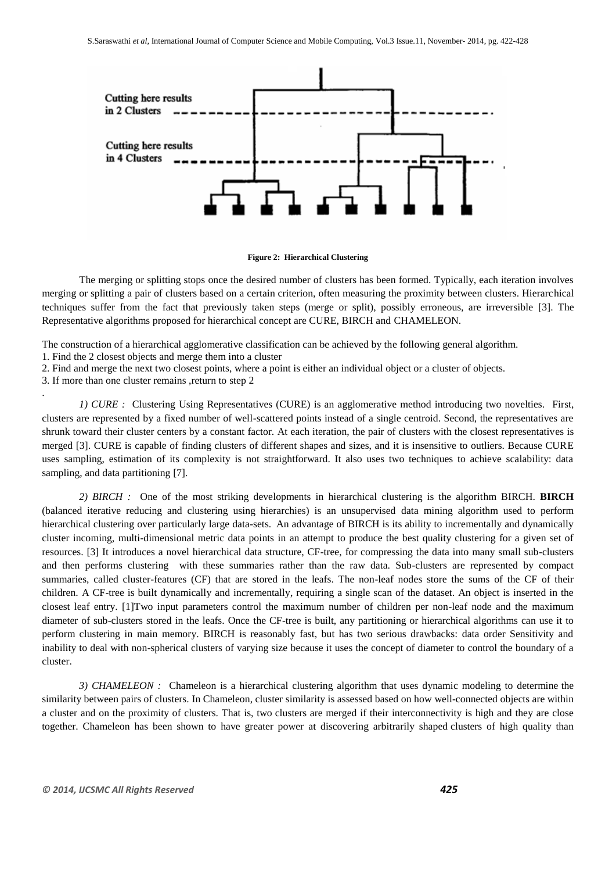

#### **Figure 2: Hierarchical Clustering**

The merging or splitting stops once the desired number of clusters has been formed. Typically, each iteration involves merging or splitting a pair of clusters based on a certain criterion, often measuring the proximity between clusters. Hierarchical techniques suffer from the fact that previously taken steps (merge or split), possibly erroneous, are irreversible [3]. The Representative algorithms proposed for hierarchical concept are CURE, BIRCH and CHAMELEON.

The construction of a hierarchical agglomerative classification can be achieved by the following general algorithm.

1. Find the 2 closest objects and merge them into a cluster

2. Find and merge the next two closest points, where a point is either an individual object or a cluster of objects.

3. If more than one cluster remains ,return to step 2

.

*1) CURE :*Clustering Using Representatives (CURE) is an agglomerative method introducing two novelties. First, clusters are represented by a fixed number of well-scattered points instead of a single centroid. Second, the representatives are shrunk toward their cluster centers by a constant factor. At each iteration, the pair of clusters with the closest representatives is merged [3]. CURE is capable of finding clusters of different shapes and sizes, and it is insensitive to outliers. Because CURE uses sampling, estimation of its complexity is not straightforward. It also uses two techniques to achieve scalability: data sampling, and data partitioning [7].

*2) BIRCH :*One of the most striking developments in hierarchical clustering is the algorithm BIRCH. **BIRCH** (balanced iterative reducing and clustering using hierarchies) is an unsupervised [data mining](http://en.wikipedia.org/wiki/Data_mining) algorithm used to perform [hierarchical clustering](http://en.wikipedia.org/wiki/Data_clustering) over particularly large data-sets. An advantage of BIRCH is its ability to incrementally and dynamically cluster incoming, multi-dimensional metric [data points](http://en.wikipedia.org/wiki/Data_point) in an attempt to produce the best quality clustering for a given set of resources. [3] It introduces a novel hierarchical data structure, CF-tree, for compressing the data into many small sub-clusters and then performs clustering with these summaries rather than the raw data. Sub-clusters are represented by compact summaries, called cluster-features (CF) that are stored in the leafs. The non-leaf nodes store the sums of the CF of their children. A CF-tree is built dynamically and incrementally, requiring a single scan of the dataset. An object is inserted in the closest leaf entry. [1]Two input parameters control the maximum number of children per non-leaf node and the maximum diameter of sub-clusters stored in the leafs. Once the CF-tree is built, any partitioning or hierarchical algorithms can use it to perform clustering in main memory. BIRCH is reasonably fast, but has two serious drawbacks: data order Sensitivity and inability to deal with non-spherical clusters of varying size because it uses the concept of diameter to control the boundary of a cluster.

*3) CHAMELEON :*Chameleon is a hierarchical clustering algorithm that uses dynamic modeling to determine the similarity between pairs of clusters. In Chameleon, cluster similarity is assessed based on how well-connected objects are within a cluster and on the proximity of clusters. That is, two clusters are merged if their interconnectivity is high and they are close together. Chameleon has been shown to have greater power at discovering arbitrarily shaped clusters of high quality than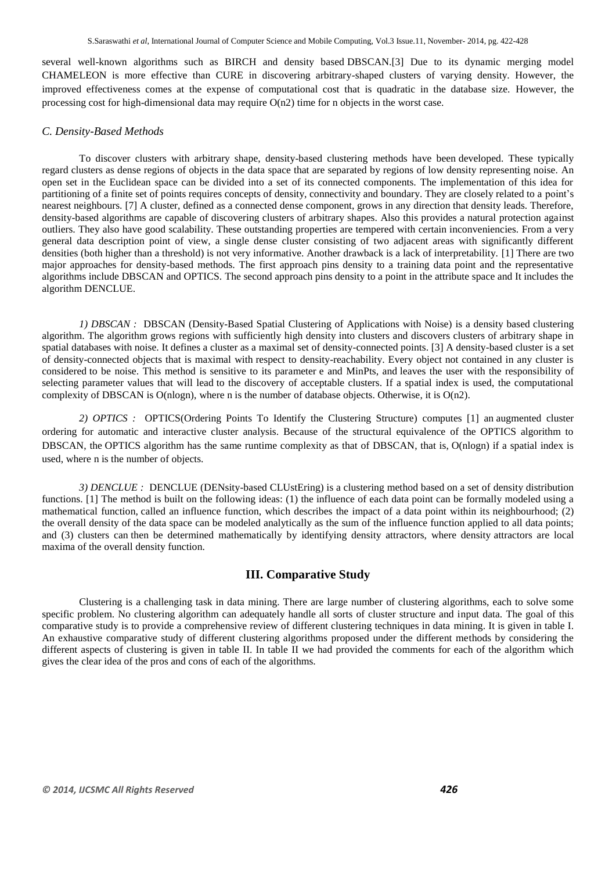several well-known algorithms such as BIRCH and density based DBSCAN.[3] Due to its dynamic merging model CHAMELEON is more effective than CURE in discovering arbitrary-shaped clusters of varying density. However, the improved effectiveness comes at the expense of computational cost that is quadratic in the database size. However, the processing cost for high-dimensional data may require  $O(n2)$  time for n objects in the worst case.

## *C. Density-Based Methods*

To discover clusters with arbitrary shape, density-based clustering methods have been developed. These typically regard clusters as dense regions of objects in the data space that are separated by regions of low density representing noise. An open set in the Euclidean space can be divided into a set of its connected components. The implementation of this idea for partitioning of a finite set of points requires concepts of density, connectivity and boundary. They are closely related to a point's nearest neighbours. [7] A cluster, defined as a connected dense component, grows in any direction that density leads. Therefore, density-based algorithms are capable of discovering clusters of arbitrary shapes. Also this provides a natural protection against outliers. They also have good scalability. These outstanding properties are tempered with certain inconveniencies. From a very general data description point of view, a single dense cluster consisting of two adjacent areas with significantly different densities (both higher than a threshold) is not very informative. Another drawback is a lack of interpretability. [1] There are two major approaches for density-based methods. The first approach pins density to a training data point and the representative algorithms include DBSCAN and OPTICS. The second approach pins density to a point in the attribute space and It includes the algorithm DENCLUE.

*1) DBSCAN :*DBSCAN (Density-Based Spatial Clustering of Applications with Noise) is a density based clustering algorithm. The algorithm grows regions with sufficiently high density into clusters and discovers clusters of arbitrary shape in spatial databases with noise. It defines a cluster as a maximal set of density-connected points. [3] A density-based cluster is a set of density-connected objects that is maximal with respect to density-reachability. Every object not contained in any cluster is considered to be noise. This method is sensitive to its parameter e and MinPts, and leaves the user with the responsibility of selecting parameter values that will lead to the discovery of acceptable clusters. If a spatial index is used, the computational complexity of DBSCAN is O(nlogn), where n is the number of database objects. Otherwise, it is O(n2).

*2) OPTICS :*OPTICS(Ordering Points To Identify the Clustering Structure) computes [1] an augmented cluster ordering for automatic and interactive cluster analysis. Because of the structural equivalence of the OPTICS algorithm to DBSCAN, the OPTICS algorithm has the same runtime complexity as that of DBSCAN, that is, O(nlogn) if a spatial index is used, where n is the number of objects.

*3) DENCLUE :* DENCLUE (DENsity-based CLUstEring) is a clustering method based on a set of density distribution functions. [1] The method is built on the following ideas: (1) the influence of each data point can be formally modeled using a mathematical function, called an influence function, which describes the impact of a data point within its neighbourhood; (2) the overall density of the data space can be modeled analytically as the sum of the influence function applied to all data points; and (3) clusters can then be determined mathematically by identifying density attractors, where density attractors are local maxima of the overall density function.

# **III. Comparative Study**

Clustering is a challenging task in data mining. There are large number of clustering algorithms, each to solve some specific problem. No clustering algorithm can adequately handle all sorts of cluster structure and input data. The goal of this comparative study is to provide a comprehensive review of different clustering techniques in data mining. It is given in table I. An exhaustive comparative study of different clustering algorithms proposed under the different methods by considering the different aspects of clustering is given in table II. In table II we had provided the comments for each of the algorithm which gives the clear idea of the pros and cons of each of the algorithms.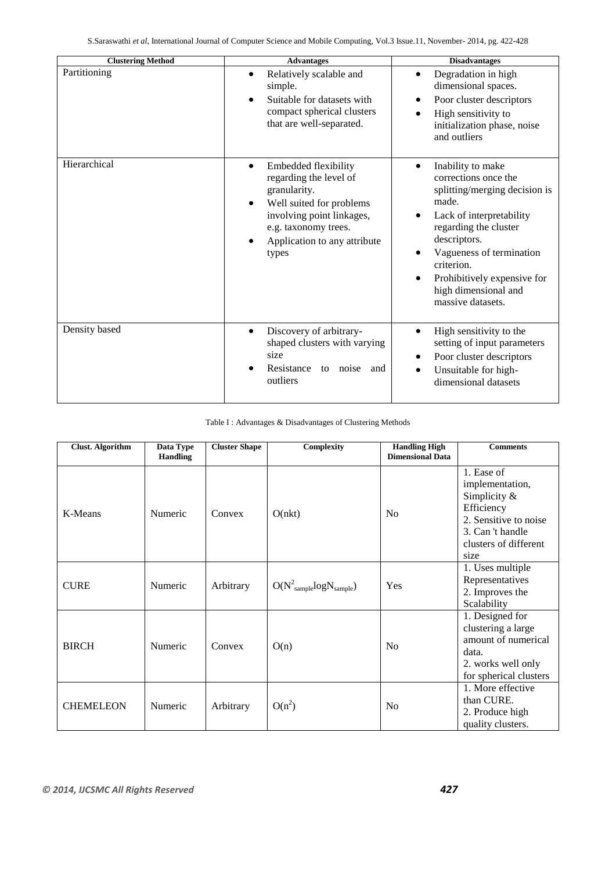| <b>Clustering Method</b> | <b>Advantages</b>                                                                                                                                                                                     | <b>Disadvantages</b>                                                                                                                                                                                                                                                           |
|--------------------------|-------------------------------------------------------------------------------------------------------------------------------------------------------------------------------------------------------|--------------------------------------------------------------------------------------------------------------------------------------------------------------------------------------------------------------------------------------------------------------------------------|
| Partitioning             | Relatively scalable and<br>simple.<br>Suitable for datasets with<br>compact spherical clusters<br>that are well-separated.                                                                            | Degradation in high<br>dimensional spaces.<br>Poor cluster descriptors<br>High sensitivity to<br>initialization phase, noise<br>and outliers                                                                                                                                   |
| Hierarchical             | Embedded flexibility<br>$\bullet$<br>regarding the level of<br>granularity.<br>Well suited for problems<br>involving point linkages,<br>e.g. taxonomy trees.<br>Application to any attribute<br>types | Inability to make<br>corrections once the<br>splitting/merging decision is<br>made.<br>Lack of interpretability<br>regarding the cluster<br>descriptors.<br>Vagueness of termination<br>criterion.<br>Prohibitively expensive for<br>high dimensional and<br>massive datasets. |
| Density based            | Discovery of arbitrary-<br>$\bullet$<br>shaped clusters with varying<br>size<br>Resistance<br>to noise<br>and<br>outliers                                                                             | High sensitivity to the<br>setting of input parameters<br>Poor cluster descriptors<br>Unsuitable for high-<br>dimensional datasets                                                                                                                                             |

# Table I : Advantages & Disadvantages of Clustering Methods

| <b>Clust. Algorithm</b> | Data Type<br><b>Handling</b> | <b>Cluster Shape</b> | Complexity                       | <b>Handling High</b><br><b>Dimensional Data</b> | <b>Comments</b>                                                                                                                              |
|-------------------------|------------------------------|----------------------|----------------------------------|-------------------------------------------------|----------------------------------------------------------------------------------------------------------------------------------------------|
| K-Means                 | Numeric                      | Convex               | O(nkt)                           | N <sub>o</sub>                                  | 1. Ease of<br>implementation,<br>Simplicity $\&$<br>Efficiency<br>2. Sensitive to noise<br>3. Can 't handle<br>clusters of different<br>size |
| <b>CURE</b>             | Numeric                      | Arbitrary            | $O(N^2_{sample} log N_{sample})$ | Yes                                             | 1. Uses multiple<br>Representatives<br>2. Improves the<br>Scalability                                                                        |
| <b>BIRCH</b>            | Numeric                      | Convex               | O(n)                             | N <sub>0</sub>                                  | 1. Designed for<br>clustering a large<br>amount of numerical<br>data.<br>2. works well only<br>for spherical clusters                        |
| <b>CHEMELEON</b>        | Numeric                      | Arbitrary            | $O(n^2)$                         | No                                              | 1. More effective<br>than CURE.<br>2. Produce high<br>quality clusters.                                                                      |